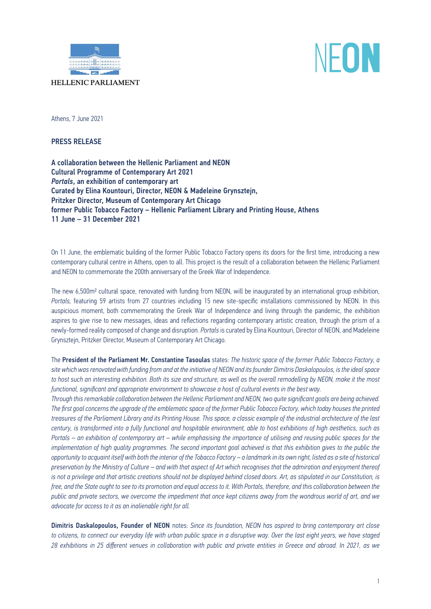

# NFON

Athens, 7 June 2021

PRESS RELEASE

A collaboration between the Hellenic Parliament and ΝΕΟΝ Cultural Programme of Contemporary Art 2021 *Portals*, an exhibition of contemporary art Curated by Elina Kountouri, Director, NEON & Madeleine Grynsztejn, Pritzker Director, Museum of Contemporary Art Chicago former Public Tobacco Factory – Hellenic Parliament Library and Printing House, Athens 11 June – 31 December 2021

On 11 June, the emblematic building of the former Public Tobacco Factory opens its doors for the first time, introducing a new contemporary cultural centre in Athens, open to all. This project is the result of a collaboration between the Hellenic Parliament and NEON to commemorate the 200th anniversary of the Greek War of Independence.

The new 6,500m2 cultural space, renovated with funding from NEON, will be inaugurated by an international group exhibition, *Portals,* featuring 59 artists from 27 countries including 15 new site-specific installations commissioned by NEON. In this auspicious moment, both commemorating the Greek War of Independence and living through the pandemic, the exhibition aspires to give rise to new messages, ideas and reflections regarding contemporary artistic creation, through the prism of a newly-formed reality composed of change and disruption. *Portals* is curated by Elina Kountouri, Director of NEON, and Madeleine Grynsztejn, Pritzker Director, Museum of Contemporary Art Chicago.

The President of the Parliament Mr. Constantine Tasoulas states: *The historic space of the former Public Tobacco Factory, a site which was renovated with funding from and at the initiative of NEON and its founder Dimitris Daskalopoulos, is the ideal space to host such an interesting exhibition. Both its size and structure, as well as the overall remodelling by NEON, make it the most functional, significant and appropriate environment to showcase a host of cultural events in the best way.*

*Through this remarkable collaboration between the Hellenic Parliament and NEON, two quite significant goals are being achieved. The first goal concerns the upgrade of the emblematic space of the former Public Tobacco Factory, which today houses the printed treasures of the Parliament Library and its Printing House. This space, a classic example of the industrial architecture of the last century, is transformed into a fully functional and hospitable environment, able to host exhibitions of high aesthetics, such as Portals – an exhibition of contemporary art – while emphasising the importance of utilising and reusing public spaces for the implementation of high quality programmes. The second important goal achieved is that this exhibition gives to the public the opportunity to acquaint itself with both the interior of the Tobacco Factory – a landmark in its own right, listed as a site of historical preservation by the Ministry of Culture – and with that aspect of Art which recognises that the admiration and enjoyment thereof is not a privilege and that artistic creations should not be displayed behind closed doors. Art, as stipulated in our Constitution, is free, and the State ought to see to its promotion and equal access to it. With Portals, therefore, and this collaboration between the public and private sectors, we overcome the impediment that once kept citizens away from the wondrous world of art, and we advocate for access to it as an inalienable right for all.*

Dimitris Daskalopoulos, Founder of NEON notes: *Since its foundation, NEON has aspired to bring contemporary art close*  to citizens, to connect our everyday life with urban public space in a disruptive way. Over the last eight years, we have staged *28 exhibitions in 25 different venues in collaboration with public and private entities in Greece and abroad. In 2021, as we*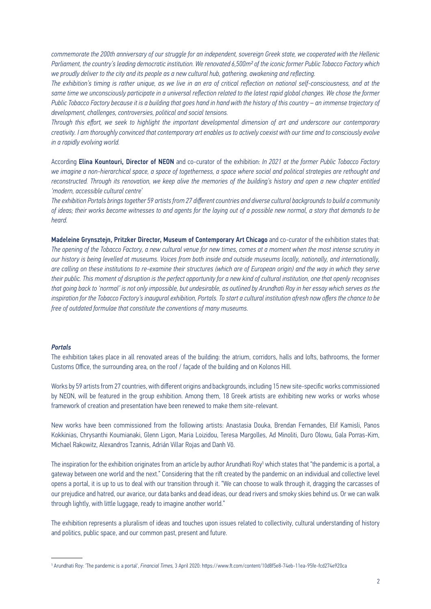*commemorate the 200th anniversary of our struggle for an independent, sovereign Greek state, we cooperated with the Hellenic Parliament, the country's leading democratic institution. We renovated 6,500m2 of the iconic former Public Tobacco Factory which we proudly deliver to the city and its people as a new cultural hub, gathering, awakening and reflecting.*

*The exhibition's timing is rather unique, as we live in an era of critical reflection on national self-consciousness, and at the*  same time we unconsciously participate in a universal reflection related to the latest rapid global changes. We chose the former *Public Tobacco Factory because it is a building that goes hand in hand with the history of this country – an immense trajectory of development, challenges, controversies, political and social tensions.*

*Through this effort, we seek to highlight the important developmental dimension of art and underscore our contemporary creativity. I am thoroughly convinced that contemporary art enables us to actively coexist with our time and to consciously evolve in a rapidly evolving world.*

According Elina Kountouri, Director of NEON and co-curator of the exhibition: *In 2021 at the former Public Tobacco Factory we imagine a non-hierarchical space, a space of togetherness, a space where social and political strategies are rethought and reconstructed. Through its renovation, we keep alive the memories of the building's history and open a new chapter entitled 'modern, accessible cultural centre'*

*The exhibition Portals brings together 59 artists from 27 different countries and diverse cultural backgrounds to build a community of ideas; their works become witnesses to and agents for the laying out of a possible new normal, a story that demands to be heard.*

Madeleine Grynsztejn, Pritzker Director, Museum of Contemporary Art Chicago and co-curator of the exhibition states that: *The opening of the Tobacco Factory, a new cultural venue for new times, comes at a moment when the most intense scrutiny in our history is being levelled at museums. Voices from both inside and outside museums locally, nationally, and internationally, are calling on these institutions to re-examine their structures (which are of European origin) and the way in which they serve their public. This moment of disruption is the perfect opportunity for a new kind of cultural institution, one that openly recognises that going back to 'normal' is not only impossible, but undesirable, as outlined by Arundhati Roy in her essay which serves as the inspiration for the Tobacco Factory's inaugural exhibition, Portals. To start a cultural institution afresh now offers the chance to be free of outdated formulae that constitute the conventions of many museums.* 

### *Portals*

The exhibition takes place in all renovated areas of the building: the atrium, corridors, halls and lofts, bathrooms, the former Customs Office, the surrounding area, on the roof / façade of the building and on Kolonos Hill.

Works by 59 artists from 27 countries, with different origins and backgrounds, including 15 new site-specific works commissioned by NEON, will be featured in the group exhibition. Among them, 18 Greek artists are exhibiting new works or works whose framework of creation and presentation have been renewed to make them site-relevant.

New works have been commissioned from the following artists: Anastasia Douka, Brendan Fernandes, Elif Kamisli, Panos Kokkinias, Chrysanthi Koumianaki, Glenn Ligon, Maria Loizidou, Teresa Margolles, Ad Minoliti, Duro Olowu, Gala Porras-Kim, Michael Rakowitz, Alexandros Tzannis, Adrián Villar Rojas and Danh Võ.

The inspiration for the exhibition originates from an article by author Arundhati Roy<sup>1</sup> which states that "the pandemic is a portal, a gateway between one world and the next." Considering that the rift created by the pandemic on an individual and collective level opens a portal, it is up to us to deal with our transition through it. "We can choose to walk through it, dragging the carcasses of our prejudice and hatred, our avarice, our data banks and dead ideas, our dead rivers and smoky skies behind us. Or we can walk through lightly, with little luggage, ready to imagine another world."

The exhibition represents a pluralism of ideas and touches upon issues related to collectivity, cultural understanding of history and politics, public space, and our common past, present and future.

<sup>1</sup> Arundhati Roy: 'The pandemic is a portal', *Financial Times,* 3 April 2020: https://www.ft.com/content/10d8f5e8-74eb-11ea-95fe-fcd274e920ca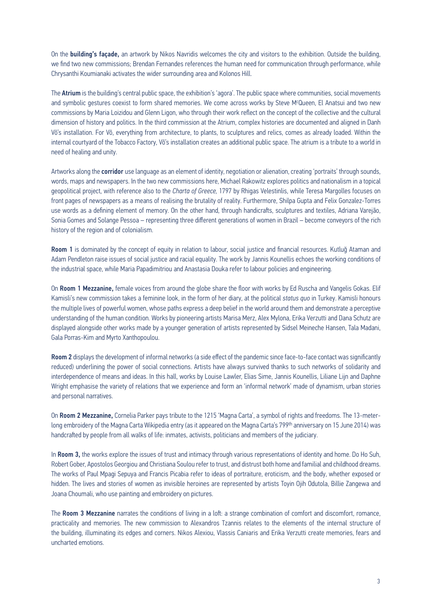On the **building's façade,** an artwork by Nikos Navridis welcomes the city and visitors to the exhibition. Outside the building, we find two new commissions; Brendan Fernandes references the human need for communication through performance, while Chrysanthi Koumianaki activates the wider surrounding area and Kolonos Hill.

The Atrium is the building's central public space, the exhibition's 'agora'. The public space where communities, social movements and symbolic gestures coexist to form shared memories. We come across works by Steve M<sup>c</sup>Queen, El Anatsui and two new commissions by Maria Loizidou and Glenn Ligon, who through their work reflect on the concept of the collective and the cultural dimension of history and politics. In the third commission at the Atrium, complex histories are documented and aligned in Danh Võ's installation. For Võ, everything from architecture, to plants, to sculptures and relics, comes as already loaded. Within the internal courtyard of the Tobacco Factory, Võ's installation creates an additional public space. The atrium is a tribute to a world in need of healing and unity.

Artworks along the **corridor** use language as an element of identity, negotiation or alienation, creating 'portraits' through sounds, words, maps and newspapers. In the two new commissions here, Michael Rakowitz explores politics and nationalism in a topical geopolitical project, with reference also to the *Charta of Greece,* 1797 by Rhigas Velestinlis, while Teresa Margolles focuses on front pages of newspapers as a means of realising the brutality of reality. Furthermore, Shilpa Gupta and Felix Gonzalez-Torres use words as a defining element of memory. On the other hand, through handicrafts, sculptures and textiles, Adriana Varejão, Sonia Gomes and Solange Pessoa – representing three different generations of women in Brazil – become conveyors of the rich history of the region and of colonialism.

Room 1 is dominated by the concept of equity in relation to labour, social justice and financial resources. Kutluğ Ataman and Adam Pendleton raise issues of social justice and racial equality. The work by Jannis Kounellis echoes the working conditions of the industrial space, while Maria Papadimitriou and Anastasia Douka refer to labour policies and engineering.

On Room 1 Mezzanine, female voices from around the globe share the floor with works by Ed Ruscha and Vangelis Gokas. Elif Kamisli's new commission takes a feminine look, in the form of her diary, at the political *status quo* in Turkey. Kamisli honours the multiple lives of powerful women, whose paths express a deep belief in the world around them and demonstrate a perceptive understanding of the human condition. Works by pioneering artists Marisa Merz, Alex Mylona, Erika Verzutti and Dana Schutz are displayed alongside other works made by a younger generation of artists represented by Sidsel Meineche Hansen, Tala Madani, Gala Porras-Kim and Myrto Xanthopoulou.

Room 2 displays the development of informal networks (a side effect of the pandemic since face-to-face contact was significantly reduced) underlining the power of social connections. Artists have always survived thanks to such networks of solidarity and interdependence of means and ideas. In this hall, works by Louise Lawler, Elias Sime, Jannis Kounellis, Liliane Lijn and Daphne Wright emphasise the variety of relations that we experience and form an 'informal network' made of dynamism, urban stories and personal narratives.

On Room 2 Mezzanine, Cornelia Parker pays tribute to the 1215 'Magna Carta', a symbol of rights and freedoms. The 13-meterlong embroidery of the Magna Carta Wikipedia entry (as it appeared on the Magna Carta's 799<sup>th</sup> anniversary on 15 June 2014) was handcrafted by people from all walks of life: inmates, activists, politicians and members of the judiciary.

In Room 3, the works explore the issues of trust and intimacy through various representations of identity and home. Do Ho Suh, Robert Gober, Apostolos Georgiou and Christiana Soulou refer to trust, and distrust both home and familial and childhood dreams. The works of Paul Mpagi Sepuya and Francis Picabia refer to ideas of portraiture, eroticism, and the body, whether exposed or hidden. The lives and stories of women as invisible heroines are represented by artists Toyin Ojih Odutola, Billie Zangewa and Joana Choumali, who use painting and embroidery on pictures.

The Room 3 Mezzanine narrates the conditions of living in a loft: a strange combination of comfort and discomfort, romance, practicality and memories. The new commission to Alexandros Tzannis relates to the elements of the internal structure of the building, illuminating its edges and corners. Nikos Alexiou, Vlassis Caniaris and Erika Verzutti create memories, fears and uncharted emotions.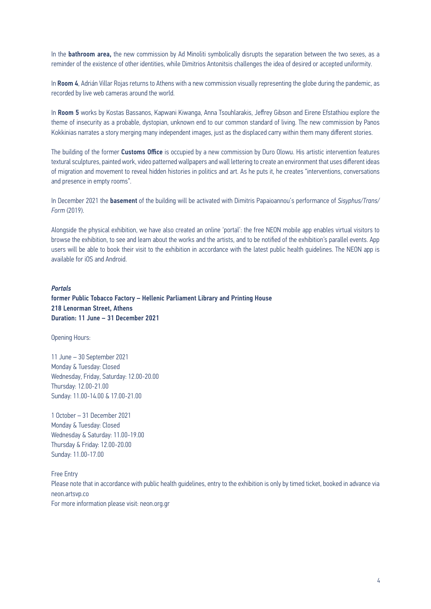In the **bathroom area,** the new commission by Ad Minoliti symbolically disrupts the separation between the two sexes, as a reminder of the existence of other identities, while Dimitrios Antonitsis challenges the idea of desired or accepted uniformity.

In Room 4, Adrián Villar Rojas returns to Athens with a new commission visually representing the globe during the pandemic, as recorded by live web cameras around the world.

In Room 5 works by Kostas Bassanos, Kapwani Kiwanga, Anna Tsouhlarakis, Jeffrey Gibson and Eirene Efstathiou explore the theme of insecurity as a probable, dystopian, unknown end to our common standard of living. The new commission by Panos Kokkinias narrates a story merging many independent images, just as the displaced carry within them many different stories.

The building of the former Customs Office is occupied by a new commission by Duro Olowu. His artistic intervention features textural sculptures, painted work, video patterned wallpapers and wall lettering to create an environment that uses different ideas of migration and movement to reveal hidden histories in politics and art. As he puts it, he creates "interventions, conversations and presence in empty rooms".

In December 2021 the basement of the building will be activated with Dimitris Papaioannou's performance of *Sisyphus/Trans/ Form* (2019).

Alongside the physical exhibition, we have also created an online 'portal': the free NEON mobile app enables virtual visitors to browse the exhibition, to see and learn about the works and the artists, and to be notified of the exhibition's parallel events. App users will be able to book their visit to the exhibition in accordance with the latest public health guidelines. The NEON app is available for iOS and Android.

### *Portals*

former Public Tobacco Factory – Hellenic Parliament Library and Printing House 218 Lenorman Street, Athens Duration: 11 June – 31 December 2021

Opening Hours:

11 June – 30 September 2021 Monday & Tuesday: Closed Wednesday, Friday, Saturday: 12.00-20.00 Thursday: 12.00-21.00 Sunday: 11.00-14.00 & 17.00-21.00

1 October – 31 December 2021 Monday & Tuesday: Closed Wednesday & Saturday: 11.00-19.00 Thursday & Friday: 12.00-20.00 Sunday: 11.00-17.00

Free Entry Please note that in accordance with public health guidelines, entry to the exhibition is only by timed ticket, booked in advance via [neon.artsvp.co](https://neon.artsvp.co) For more information please visit: [neon.org.gr](https://neon.org.gr/en/)